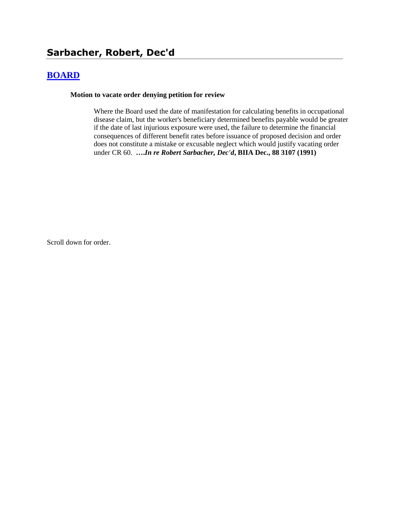# **[BOARD](http://www.biia.wa.gov/SDSubjectIndex.html#BOARD)**

#### **Motion to vacate order denying petition for review**

Where the Board used the date of manifestation for calculating benefits in occupational disease claim, but the worker's beneficiary determined benefits payable would be greater if the date of last injurious exposure were used, the failure to determine the financial consequences of different benefit rates before issuance of proposed decision and order does not constitute a mistake or excusable neglect which would justify vacating order under CR 60. **….***In re Robert Sarbacher, Dec'd***, BIIA Dec., 88 3107 (1991)**

Scroll down for order.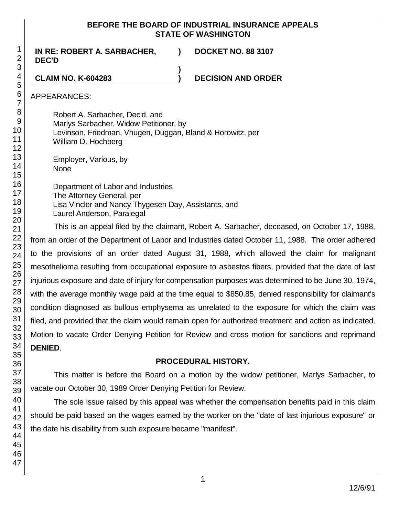# **BEFORE THE BOARD OF INDUSTRIAL INSURANCE APPEALS STATE OF WASHINGTON**

**IN RE: ROBERT A. SARBACHER, DEC'D ) DOCKET NO. 88 3107 ) CLAIM NO. K-604283 ) DECISION AND ORDER**

APPEARANCES:

Robert A. Sarbacher, Dec'd. and Marlys Sarbacher, Widow Petitioner, by Levinson, Friedman, Vhugen, Duggan, Bland & Horowitz, per William D. Hochberg

Employer, Various, by None

Department of Labor and Industries The Attorney General, per Lisa Vincler and Nancy Thygesen Day, Assistants, and Laurel Anderson, Paralegal

This is an appeal filed by the claimant, Robert A. Sarbacher, deceased, on October 17, 1988, from an order of the Department of Labor and Industries dated October 11, 1988. The order adhered to the provisions of an order dated August 31, 1988, which allowed the claim for malignant mesothelioma resulting from occupational exposure to asbestos fibers, provided that the date of last injurious exposure and date of injury for compensation purposes was determined to be June 30, 1974, with the average monthly wage paid at the time equal to \$850.85, denied responsibility for claimant's condition diagnosed as bullous emphysema as unrelated to the exposure for which the claim was filed, and provided that the claim would remain open for authorized treatment and action as indicated. Motion to vacate Order Denying Petition for Review and cross motion for sanctions and reprimand **DENIED**.

# **PROCEDURAL HISTORY.**

This matter is before the Board on a motion by the widow petitioner, Marlys Sarbacher, to vacate our October 30, 1989 Order Denying Petition for Review.

The sole issue raised by this appeal was whether the compensation benefits paid in this claim should be paid based on the wages earned by the worker on the "date of last injurious exposure" or the date his disability from such exposure became "manifest".

1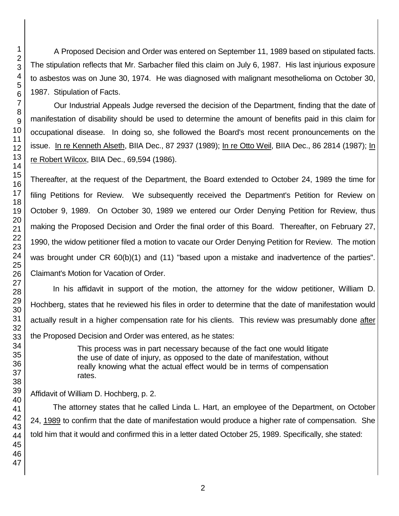A Proposed Decision and Order was entered on September 11, 1989 based on stipulated facts. The stipulation reflects that Mr. Sarbacher filed this claim on July 6, 1987. His last injurious exposure to asbestos was on June 30, 1974. He was diagnosed with malignant mesothelioma on October 30, 1987. Stipulation of Facts.

Our Industrial Appeals Judge reversed the decision of the Department, finding that the date of manifestation of disability should be used to determine the amount of benefits paid in this claim for occupational disease. In doing so, she followed the Board's most recent pronouncements on the issue. In re Kenneth Alseth, BIIA Dec., 87 2937 (1989); In re Otto Weil, BIIA Dec., 86 2814 (1987); In re Robert Wilcox, BIIA Dec., 69,594 (1986).

Thereafter, at the request of the Department, the Board extended to October 24, 1989 the time for filing Petitions for Review. We subsequently received the Department's Petition for Review on October 9, 1989. On October 30, 1989 we entered our Order Denying Petition for Review, thus making the Proposed Decision and Order the final order of this Board. Thereafter, on February 27, 1990, the widow petitioner filed a motion to vacate our Order Denying Petition for Review. The motion was brought under CR 60(b)(1) and (11) "based upon a mistake and inadvertence of the parties". Claimant's Motion for Vacation of Order.

In his affidavit in support of the motion, the attorney for the widow petitioner, William D. Hochberg, states that he reviewed his files in order to determine that the date of manifestation would actually result in a higher compensation rate for his clients. This review was presumably done after the Proposed Decision and Order was entered, as he states:

> This process was in part necessary because of the fact one would litigate the use of date of injury, as opposed to the date of manifestation, without really knowing what the actual effect would be in terms of compensation rates.

Affidavit of William D. Hochberg, p. 2.

The attorney states that he called Linda L. Hart, an employee of the Department, on October 24, 1989 to confirm that the date of manifestation would produce a higher rate of compensation. She told him that it would and confirmed this in a letter dated October 25, 1989. Specifically, she stated: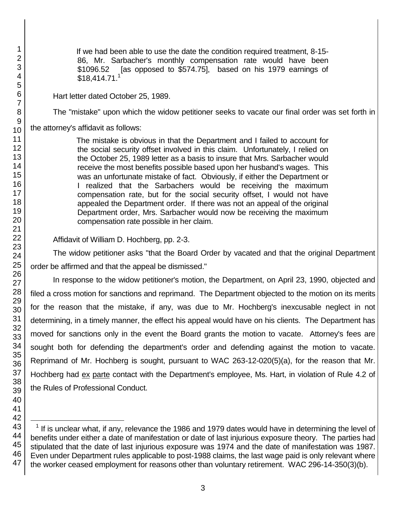l

If we had been able to use the date the condition required treatment, 8-15- 86, Mr. Sarbacher's monthly compensation rate would have been \$1096.52 [as opposed to \$574.75], based on his 1979 earnings of \$18,414.71.<sup>1</sup>

Hart letter dated October 25, 1989.

The "mistake" upon which the widow petitioner seeks to vacate our final order was set forth in

the attorney's affidavit as follows:

The mistake is obvious in that the Department and I failed to account for the social security offset involved in this claim. Unfortunately, I relied on the October 25, 1989 letter as a basis to insure that Mrs. Sarbacher would receive the most benefits possible based upon her husband's wages. This was an unfortunate mistake of fact. Obviously, if either the Department or I realized that the Sarbachers would be receiving the maximum compensation rate, but for the social security offset, I would not have appealed the Department order. If there was not an appeal of the original Department order, Mrs. Sarbacher would now be receiving the maximum compensation rate possible in her claim.

Affidavit of William D. Hochberg, pp. 2-3.

The widow petitioner asks "that the Board Order by vacated and that the original Department order be affirmed and that the appeal be dismissed."

In response to the widow petitioner's motion, the Department, on April 23, 1990, objected and filed a cross motion for sanctions and reprimand. The Department objected to the motion on its merits for the reason that the mistake, if any, was due to Mr. Hochberg's inexcusable neglect in not determining, in a timely manner, the effect his appeal would have on his clients. The Department has moved for sanctions only in the event the Board grants the motion to vacate. Attorney's fees are sought both for defending the department's order and defending against the motion to vacate. Reprimand of Mr. Hochberg is sought, pursuant to WAC 263-12-020(5)(a), for the reason that Mr. Hochberg had ex parte contact with the Department's employee, Ms. Hart, in violation of Rule 4.2 of the Rules of Professional Conduct.

 $1$  If is unclear what, if any, relevance the 1986 and 1979 dates would have in determining the level of benefits under either a date of manifestation or date of last injurious exposure theory. The parties had stipulated that the date of last injurious exposure was 1974 and the date of manifestation was 1987. Even under Department rules applicable to post-1988 claims, the last wage paid is only relevant where the worker ceased employment for reasons other than voluntary retirement. WAC 296-14-350(3)(b).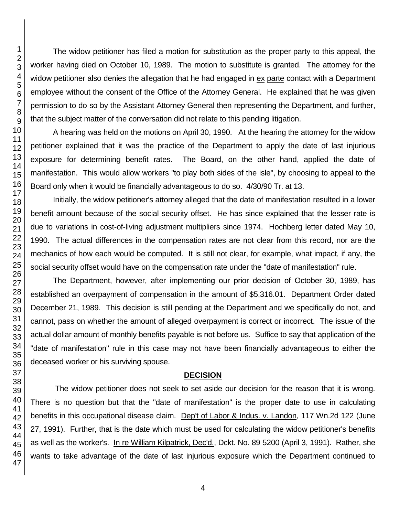The widow petitioner has filed a motion for substitution as the proper party to this appeal, the worker having died on October 10, 1989. The motion to substitute is granted. The attorney for the widow petitioner also denies the allegation that he had engaged in ex parte contact with a Department employee without the consent of the Office of the Attorney General. He explained that he was given permission to do so by the Assistant Attorney General then representing the Department, and further, that the subject matter of the conversation did not relate to this pending litigation.

A hearing was held on the motions on April 30, 1990. At the hearing the attorney for the widow petitioner explained that it was the practice of the Department to apply the date of last injurious exposure for determining benefit rates. The Board, on the other hand, applied the date of manifestation. This would allow workers "to play both sides of the isle", by choosing to appeal to the Board only when it would be financially advantageous to do so. 4/30/90 Tr. at 13.

Initially, the widow petitioner's attorney alleged that the date of manifestation resulted in a lower benefit amount because of the social security offset. He has since explained that the lesser rate is due to variations in cost-of-living adjustment multipliers since 1974. Hochberg letter dated May 10, 1990. The actual differences in the compensation rates are not clear from this record, nor are the mechanics of how each would be computed. It is still not clear, for example, what impact, if any, the social security offset would have on the compensation rate under the "date of manifestation" rule.

The Department, however, after implementing our prior decision of October 30, 1989, has established an overpayment of compensation in the amount of \$5,316.01. Department Order dated December 21, 1989. This decision is still pending at the Department and we specifically do not, and cannot, pass on whether the amount of alleged overpayment is correct or incorrect. The issue of the actual dollar amount of monthly benefits payable is not before us. Suffice to say that application of the "date of manifestation" rule in this case may not have been financially advantageous to either the deceased worker or his surviving spouse.

### **DECISION**

The widow petitioner does not seek to set aside our decision for the reason that it is wrong. There is no question but that the "date of manifestation" is the proper date to use in calculating benefits in this occupational disease claim. Dep't of Labor & Indus. v. Landon, 117 Wn.2d 122 (June 27, 1991). Further, that is the date which must be used for calculating the widow petitioner's benefits as well as the worker's. In re William Kilpatrick, Dec'd., Dckt. No. 89 5200 (April 3, 1991). Rather, she wants to take advantage of the date of last injurious exposure which the Department continued to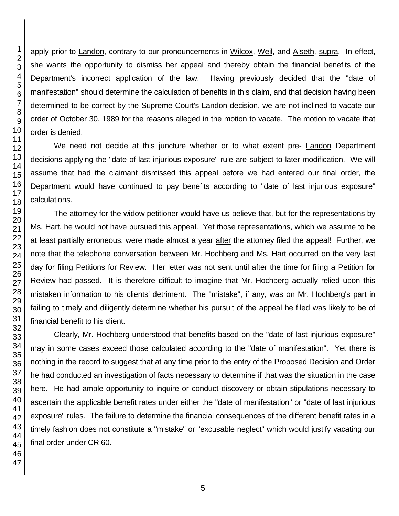apply prior to Landon, contrary to our pronouncements in Wilcox, Weil, and Alseth, supra. In effect, she wants the opportunity to dismiss her appeal and thereby obtain the financial benefits of the Department's incorrect application of the law. Having previously decided that the "date of manifestation" should determine the calculation of benefits in this claim, and that decision having been determined to be correct by the Supreme Court's Landon decision, we are not inclined to vacate our order of October 30, 1989 for the reasons alleged in the motion to vacate. The motion to vacate that order is denied.

We need not decide at this juncture whether or to what extent pre- Landon Department decisions applying the "date of last injurious exposure" rule are subject to later modification. We will assume that had the claimant dismissed this appeal before we had entered our final order, the Department would have continued to pay benefits according to "date of last injurious exposure" calculations.

The attorney for the widow petitioner would have us believe that, but for the representations by Ms. Hart, he would not have pursued this appeal. Yet those representations, which we assume to be at least partially erroneous, were made almost a year after the attorney filed the appeal! Further, we note that the telephone conversation between Mr. Hochberg and Ms. Hart occurred on the very last day for filing Petitions for Review. Her letter was not sent until after the time for filing a Petition for Review had passed. It is therefore difficult to imagine that Mr. Hochberg actually relied upon this mistaken information to his clients' detriment. The "mistake", if any, was on Mr. Hochberg's part in failing to timely and diligently determine whether his pursuit of the appeal he filed was likely to be of financial benefit to his client.

Clearly, Mr. Hochberg understood that benefits based on the "date of last injurious exposure" may in some cases exceed those calculated according to the "date of manifestation". Yet there is nothing in the record to suggest that at any time prior to the entry of the Proposed Decision and Order he had conducted an investigation of facts necessary to determine if that was the situation in the case here. He had ample opportunity to inquire or conduct discovery or obtain stipulations necessary to ascertain the applicable benefit rates under either the "date of manifestation" or "date of last injurious exposure" rules. The failure to determine the financial consequences of the different benefit rates in a timely fashion does not constitute a "mistake" or "excusable neglect" which would justify vacating our final order under CR 60.